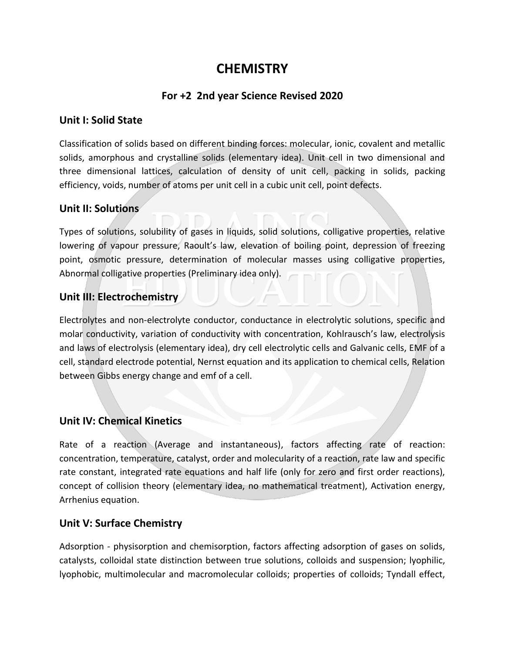# **CHEMISTRY**

# **For +2 2nd year Science Revised 2020**

#### **Unit I: Solid State**

Classification of solids based on different binding forces: molecular, ionic, covalent and metallic solids, amorphous and crystalline solids (elementary idea). Unit cell in two dimensional and three dimensional lattices, calculation of density of unit cell, packing in solids, packing efficiency, voids, number of atoms per unit cell in a cubic unit cell, point defects.

# **Unit II: Solutions**

Types of solutions, solubility of gases in liquids, solid solutions, colligative properties, relative lowering of vapour pressure, Raoult's law, elevation of boiling point, depression of freezing point, osmotic pressure, determination of molecular masses using colligative properties, Abnormal colligative properties (Preliminary idea only).

# **Unit III: Electrochemistry**

Electrolytes and non-electrolyte conductor, conductance in electrolytic solutions, specific and molar conductivity, variation of conductivity with concentration, Kohlrausch's law, electrolysis and laws of electrolysis (elementary idea), dry cell electrolytic cells and Galvanic cells, EMF of a cell, standard electrode potential, Nernst equation and its application to chemical cells, Relation between Gibbs energy change and emf of a cell.

# **Unit IV: Chemical Kinetics**

Rate of a reaction (Average and instantaneous), factors affecting rate of reaction: concentration, temperature, catalyst, order and molecularity of a reaction, rate law and specific rate constant, integrated rate equations and half life (only for zero and first order reactions), concept of collision theory (elementary idea, no mathematical treatment), Activation energy, Arrhenius equation.

# **Unit V: Surface Chemistry**

Adsorption - physisorption and chemisorption, factors affecting adsorption of gases on solids, catalysts, colloidal state distinction between true solutions, colloids and suspension; lyophilic, lyophobic, multimolecular and macromolecular colloids; properties of colloids; Tyndall effect,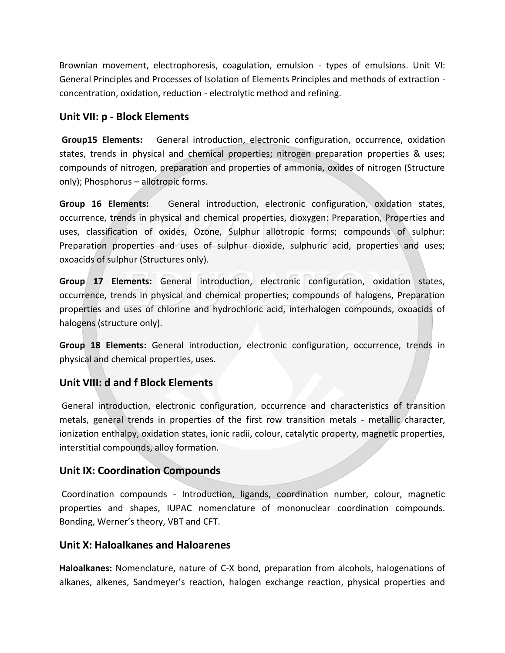Brownian movement, electrophoresis, coagulation, emulsion - types of emulsions. Unit VI: General Principles and Processes of Isolation of Elements Principles and methods of extraction concentration, oxidation, reduction - electrolytic method and refining.

#### **Unit VII: p - Block Elements**

**Group15 Elements:** General introduction, electronic configuration, occurrence, oxidation states, trends in physical and chemical properties; nitrogen preparation properties & uses; compounds of nitrogen, preparation and properties of ammonia, oxides of nitrogen (Structure only); Phosphorus – allotropic forms.

**Group 16 Elements:** General introduction, electronic configuration, oxidation states, occurrence, trends in physical and chemical properties, dioxygen: Preparation, Properties and uses, classification of oxides, Ozone, Sulphur allotropic forms; compounds of sulphur: Preparation properties and uses of sulphur dioxide, sulphuric acid, properties and uses; oxoacids of sulphur (Structures only).

**Group 17 Elements:** General introduction, electronic configuration, oxidation states, occurrence, trends in physical and chemical properties; compounds of halogens, Preparation properties and uses of chlorine and hydrochloric acid, interhalogen compounds, oxoacids of halogens (structure only).

**Group 18 Elements:** General introduction, electronic configuration, occurrence, trends in physical and chemical properties, uses.

# **Unit VIII: d and f Block Elements**

General introduction, electronic configuration, occurrence and characteristics of transition metals, general trends in properties of the first row transition metals - metallic character, ionization enthalpy, oxidation states, ionic radii, colour, catalytic property, magnetic properties, interstitial compounds, alloy formation.

# **Unit IX: Coordination Compounds**

Coordination compounds - Introduction, ligands, coordination number, colour, magnetic properties and shapes, IUPAC nomenclature of mononuclear coordination compounds. Bonding, Werner's theory, VBT and CFT.

#### **Unit X: Haloalkanes and Haloarenes**

**Haloalkanes:** Nomenclature, nature of C-X bond, preparation from alcohols, halogenations of alkanes, alkenes, Sandmeyer's reaction, halogen exchange reaction, physical properties and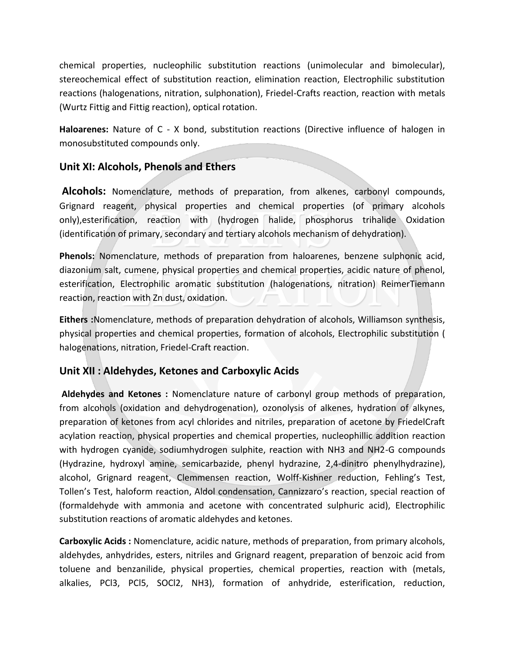chemical properties, nucleophilic substitution reactions (unimolecular and bimolecular), stereochemical effect of substitution reaction, elimination reaction, Electrophilic substitution reactions (halogenations, nitration, sulphonation), Friedel-Crafts reaction, reaction with metals (Wurtz Fittig and Fittig reaction), optical rotation.

**Haloarenes:** Nature of C - X bond, substitution reactions (Directive influence of halogen in monosubstituted compounds only.

# **Unit XI: Alcohols, Phenols and Ethers**

**Alcohols:** Nomenclature, methods of preparation, from alkenes, carbonyl compounds, Grignard reagent, physical properties and chemical properties (of primary alcohols only),esterification, reaction with (hydrogen halide, phosphorus trihalide Oxidation (identification of primary, secondary and tertiary alcohols mechanism of dehydration).

**Phenols:** Nomenclature, methods of preparation from haloarenes, benzene sulphonic acid, diazonium salt, cumene, physical properties and chemical properties, acidic nature of phenol, esterification, Electrophilic aromatic substitution (halogenations, nitration) ReimerTiemann reaction, reaction with Zn dust, oxidation.

**Eithers :**Nomenclature, methods of preparation dehydration of alcohols, Williamson synthesis, physical properties and chemical properties, formation of alcohols, Electrophilic substitution ( halogenations, nitration, Friedel-Craft reaction.

# **Unit XII : Aldehydes, Ketones and Carboxylic Acids**

**Aldehydes and Ketones :** Nomenclature nature of carbonyl group methods of preparation, from alcohols (oxidation and dehydrogenation), ozonolysis of alkenes, hydration of alkynes, preparation of ketones from acyl chlorides and nitriles, preparation of acetone by FriedelCraft acylation reaction, physical properties and chemical properties, nucleophillic addition reaction with hydrogen cyanide, sodiumhydrogen sulphite, reaction with NH3 and NH2-G compounds (Hydrazine, hydroxyl amine, semicarbazide, phenyl hydrazine, 2,4-dinitro phenylhydrazine), alcohol, Grignard reagent, Clemmensen reaction, Wolff-Kishner reduction, Fehling's Test, Tollen's Test, haloform reaction, Aldol condensation, Cannizzaro's reaction, special reaction of (formaldehyde with ammonia and acetone with concentrated sulphuric acid), Electrophilic substitution reactions of aromatic aldehydes and ketones.

**Carboxylic Acids :** Nomenclature, acidic nature, methods of preparation, from primary alcohols, aldehydes, anhydrides, esters, nitriles and Grignard reagent, preparation of benzoic acid from toluene and benzanilide, physical properties, chemical properties, reaction with (metals, alkalies, PCl3, PCl5, SOCl2, NH3), formation of anhydride, esterification, reduction,